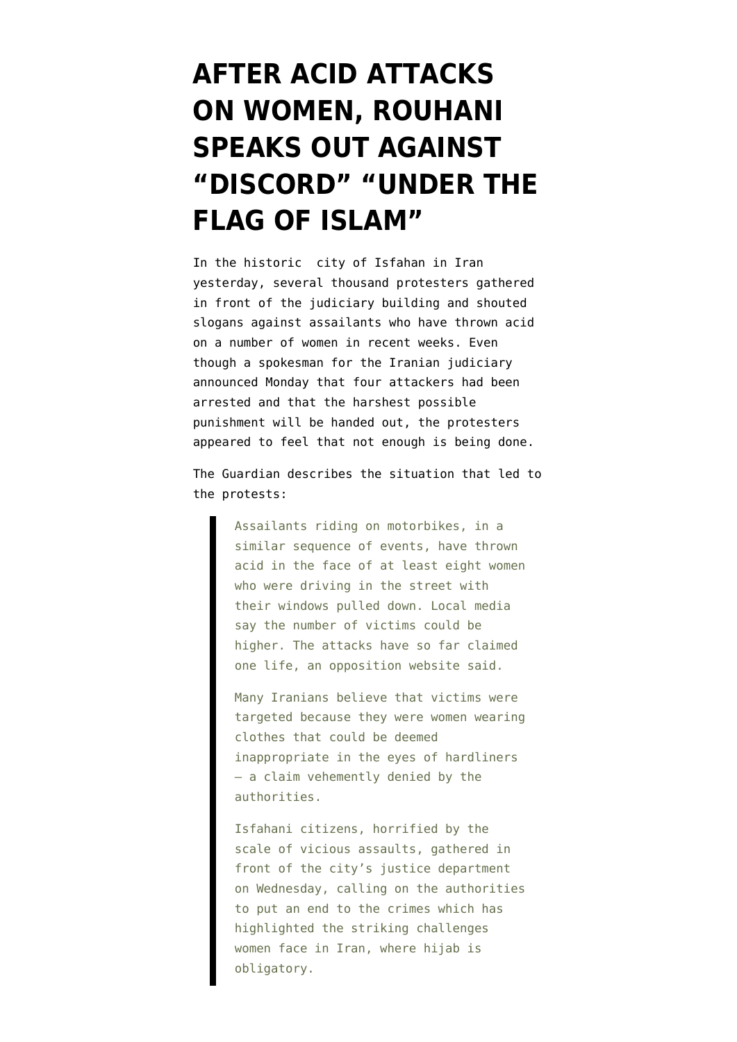## **[AFTER ACID ATTACKS](https://www.emptywheel.net/2014/10/23/after-acid-attacks-on-women-rouhani-speaks-out-against-discord-under-the-flag-of-islam/) [ON WOMEN, ROUHANI](https://www.emptywheel.net/2014/10/23/after-acid-attacks-on-women-rouhani-speaks-out-against-discord-under-the-flag-of-islam/) [SPEAKS OUT AGAINST](https://www.emptywheel.net/2014/10/23/after-acid-attacks-on-women-rouhani-speaks-out-against-discord-under-the-flag-of-islam/) ["DISCORD" "UNDER THE](https://www.emptywheel.net/2014/10/23/after-acid-attacks-on-women-rouhani-speaks-out-against-discord-under-the-flag-of-islam/) [FLAG OF ISLAM"](https://www.emptywheel.net/2014/10/23/after-acid-attacks-on-women-rouhani-speaks-out-against-discord-under-the-flag-of-islam/)**

In the historic city of Isfahan in Iran yesterday, several thousand protesters gathered in front of the judiciary building and shouted slogans against assailants who have thrown acid on a number of women in recent weeks. Even though a spokesman for the Iranian judiciary [announced Monday that four attackers had been](http://www.presstv.com/detail/2014/10/21/383056/iran-to-harshly-punish-acid-attackers/) [arrested](http://www.presstv.com/detail/2014/10/21/383056/iran-to-harshly-punish-acid-attackers/) and that the harshest possible punishment will be handed out, the protesters appeared to feel that not enough is being done.

The [Guardian](http://www.theguardian.com/world/2014/oct/22/isfahanis-protest-over-iran-acid-attacks) describes the situation that led to the protests:

> Assailants riding on motorbikes, in a similar sequence of events, have thrown acid in the face of at least eight women who were driving in the street with their windows pulled down. Local media say the number of victims could be higher. The attacks have so far claimed one life, an opposition website said.

> Many Iranians believe that victims were targeted because they were women wearing clothes that could be deemed inappropriate in the eyes of hardliners – a claim vehemently denied by the authorities.

> Isfahani citizens, horrified by the scale of vicious assaults, gathered in front of the city's justice department on Wednesday, calling on the authorities to put an end to the crimes which has highlighted the striking challenges women face in Iran, where hijab is obligatory.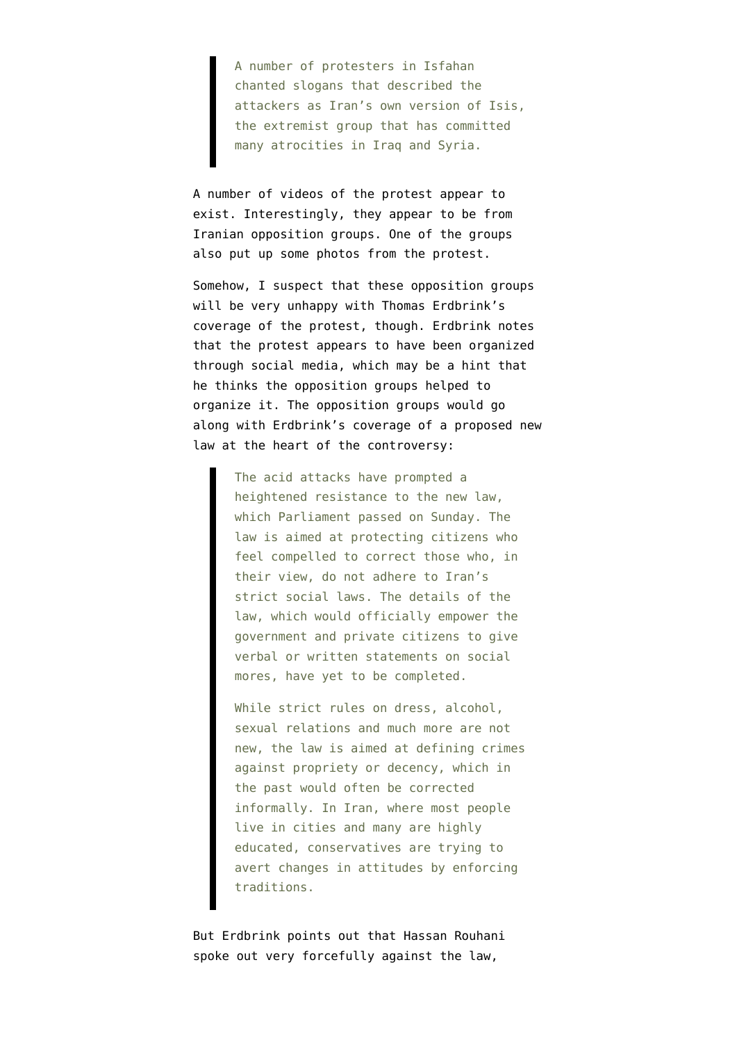A number of protesters in Isfahan chanted slogans that described the attackers as Iran's own version of Isis, the extremist group that has committed many atrocities in Iraq and Syria.

A number of [videos](https://www.youtube.com/results?filters=week&lclk=week&search_query=isfahan+protest) of the protest appear to exist. Interestingly, they appear to be from Iranian opposition groups. One of the groups also put up some [photos](https://www.facebook.com/media/set/?set=a.806737779348745&type=3&l=5da2f39ea9) from the protest.

Somehow, I suspect that these opposition groups will be very unhappy with [Thomas Erdbrink's](http://www.nytimes.com/2014/10/23/world/middleeast/thousands-in-iran-protest-acid-attacks-on-women.html) [coverage](http://www.nytimes.com/2014/10/23/world/middleeast/thousands-in-iran-protest-acid-attacks-on-women.html) of the protest, though. Erdbrink notes that the protest appears to have been organized through social media, which may be a hint that he thinks the opposition groups helped to organize it. The opposition groups would go along with Erdbrink's coverage of a proposed new law at the heart of the controversy:

> The acid attacks have prompted a heightened resistance to the new law, which Parliament passed on Sunday. The law is aimed at protecting citizens who feel compelled to correct those who, in their view, do not adhere to Iran's strict social laws. The details of the law, which would officially empower the government and private citizens to give verbal or written statements on social mores, have yet to be completed.

While strict rules on dress, alcohol, sexual relations and much more are not new, the law is aimed at defining crimes against propriety or decency, which in the past would often be corrected informally. In Iran, where most people live in cities and many are highly educated, conservatives are trying to avert changes in attitudes by enforcing traditions.

But Erdbrink points out that Hassan Rouhani spoke out very forcefully against the law,